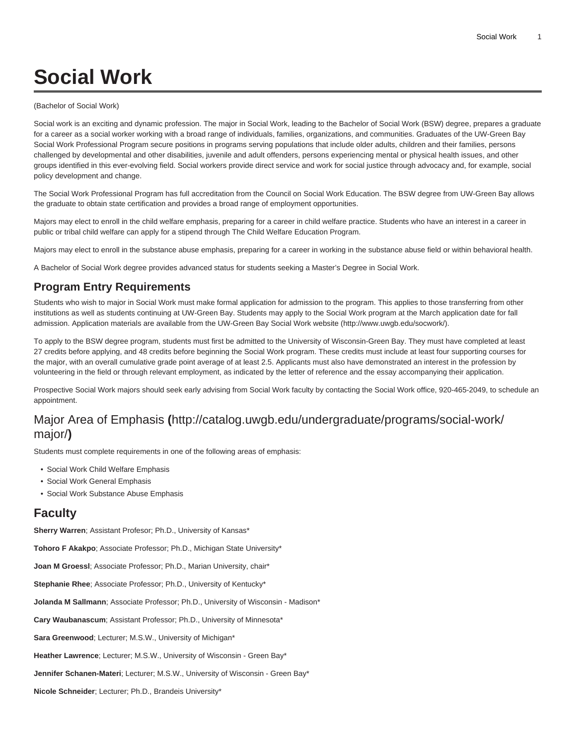# **Social Work**

#### (Bachelor of Social Work)

Social work is an exciting and dynamic profession. The major in Social Work, leading to the Bachelor of Social Work (BSW) degree, prepares a graduate for a career as a social worker working with a broad range of individuals, families, organizations, and communities. Graduates of the UW-Green Bay Social Work Professional Program secure positions in programs serving populations that include older adults, children and their families, persons challenged by developmental and other disabilities, juvenile and adult offenders, persons experiencing mental or physical health issues, and other groups identified in this ever-evolving field. Social workers provide direct service and work for social justice through advocacy and, for example, social policy development and change.

The Social Work Professional Program has full accreditation from the Council on Social Work Education. The BSW degree from UW-Green Bay allows the graduate to obtain state certification and provides a broad range of employment opportunities.

Majors may elect to enroll in the child welfare emphasis, preparing for a career in child welfare practice. Students who have an interest in a career in public or tribal child welfare can apply for a stipend through The Child Welfare Education Program.

Majors may elect to enroll in the substance abuse emphasis, preparing for a career in working in the substance abuse field or within behavioral health.

A Bachelor of Social Work degree provides advanced status for students seeking a Master's Degree in Social Work.

### **Program Entry Requirements**

Students who wish to major in Social Work must make formal application for admission to the program. This applies to those transferring from other institutions as well as students continuing at UW-Green Bay. Students may apply to the Social Work program at the March application date for fall admission. Application materials are available from the UW-Green Bay Social Work [website](http://www.uwgb.edu/socwork/) (<http://www.uwgb.edu/socwork/>).

To apply to the BSW degree program, students must first be admitted to the University of Wisconsin-Green Bay. They must have completed at least 27 credits before applying, and 48 credits before beginning the Social Work program. These credits must include at least four supporting courses for the major, with an overall cumulative grade point average of at least 2.5. Applicants must also have demonstrated an interest in the profession by volunteering in the field or through relevant employment, as indicated by the letter of reference and the essay accompanying their application.

Prospective Social Work majors should seek early advising from Social Work faculty by contacting the Social Work office, 920-465-2049, to schedule an appointment.

## [Major Area of Emphasis](http://catalog.uwgb.edu/undergraduate/programs/social-work/major/) **(**[http://catalog.uwgb.edu/undergraduate/programs/social-work/](http://catalog.uwgb.edu/undergraduate/programs/social-work/major/) [major/](http://catalog.uwgb.edu/undergraduate/programs/social-work/major/)**)**

Students must complete requirements in one of the following areas of emphasis:

- Social Work Child Welfare Emphasis
- Social Work General Emphasis
- Social Work Substance Abuse Emphasis

### **Faculty**

**Sherry Warren**; Assistant Profesor; Ph.D., University of Kansas\*

**Tohoro F Akakpo**; Associate Professor; Ph.D., Michigan State University\*

**Joan M Groessl**; Associate Professor; Ph.D., Marian University, chair\*

**Stephanie Rhee**; Associate Professor; Ph.D., University of Kentucky\*

**Jolanda M Sallmann**; Associate Professor; Ph.D., University of Wisconsin - Madison\*

**Cary Waubanascum**; Assistant Professor; Ph.D., University of Minnesota\*

**Sara Greenwood**; Lecturer; M.S.W., University of Michigan\*

**Heather Lawrence**; Lecturer; M.S.W., University of Wisconsin - Green Bay\*

**Jennifer Schanen-Materi**; Lecturer; M.S.W., University of Wisconsin - Green Bay\*

**Nicole Schneider**; Lecturer; Ph.D., Brandeis University\*